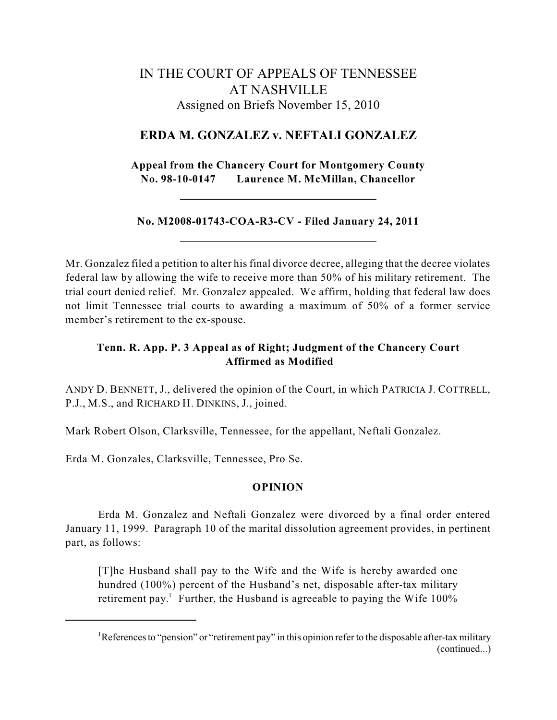# IN THE COURT OF APPEALS OF TENNESSEE AT NASHVILLE Assigned on Briefs November 15, 2010

### **ERDA M. GONZALEZ v. NEFTALI GONZALEZ**

**Appeal from the Chancery Court for Montgomery County No. 98-10-0147 Laurence M. McMillan, Chancellor**

### **No. M2008-01743-COA-R3-CV - Filed January 24, 2011**

Mr. Gonzalez filed a petition to alter his final divorce decree, alleging that the decree violates federal law by allowing the wife to receive more than 50% of his military retirement. The trial court denied relief. Mr. Gonzalez appealed. We affirm, holding that federal law does not limit Tennessee trial courts to awarding a maximum of 50% of a former service member's retirement to the ex-spouse.

## **Tenn. R. App. P. 3 Appeal as of Right; Judgment of the Chancery Court Affirmed as Modified**

ANDY D. BENNETT, J., delivered the opinion of the Court, in which PATRICIA J. COTTRELL, P.J., M.S., and RICHARD H. DINKINS, J., joined.

Mark Robert Olson, Clarksville, Tennessee, for the appellant, Neftali Gonzalez.

Erda M. Gonzales, Clarksville, Tennessee, Pro Se.

#### **OPINION**

Erda M. Gonzalez and Neftali Gonzalez were divorced by a final order entered January 11, 1999. Paragraph 10 of the marital dissolution agreement provides, in pertinent part, as follows:

[T]he Husband shall pay to the Wife and the Wife is hereby awarded one hundred (100%) percent of the Husband's net, disposable after-tax military retirement pay.<sup>1</sup> Further, the Husband is agreeable to paying the Wife  $100\%$ 

<sup>&</sup>lt;sup>1</sup>References to "pension" or "retirement pay" in this opinion refer to the disposable after-tax military (continued...)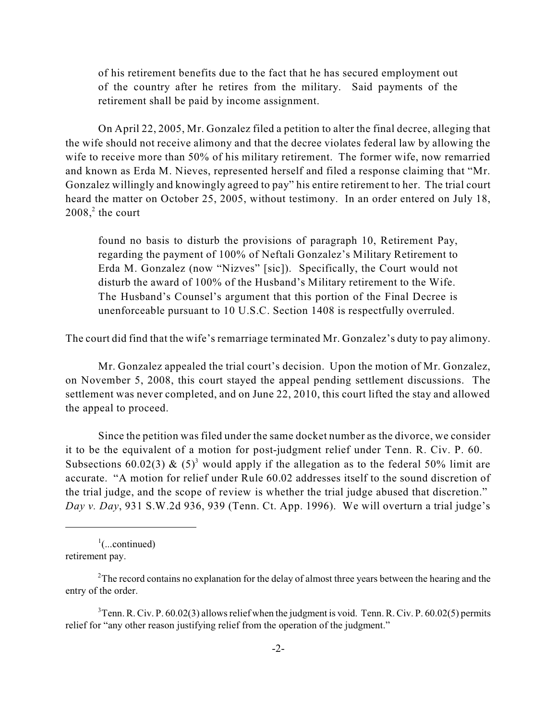of his retirement benefits due to the fact that he has secured employment out of the country after he retires from the military. Said payments of the retirement shall be paid by income assignment.

On April 22, 2005, Mr. Gonzalez filed a petition to alter the final decree, alleging that the wife should not receive alimony and that the decree violates federal law by allowing the wife to receive more than 50% of his military retirement. The former wife, now remarried and known as Erda M. Nieves, represented herself and filed a response claiming that "Mr. Gonzalez willingly and knowingly agreed to pay" his entire retirement to her. The trial court heard the matter on October 25, 2005, without testimony. In an order entered on July 18,  $2008<sup>2</sup>$ , the court

found no basis to disturb the provisions of paragraph 10, Retirement Pay, regarding the payment of 100% of Neftali Gonzalez's Military Retirement to Erda M. Gonzalez (now "Nizves" [sic]). Specifically, the Court would not disturb the award of 100% of the Husband's Military retirement to the Wife. The Husband's Counsel's argument that this portion of the Final Decree is unenforceable pursuant to 10 U.S.C. Section 1408 is respectfully overruled.

The court did find that the wife's remarriage terminated Mr. Gonzalez's duty to pay alimony.

Mr. Gonzalez appealed the trial court's decision. Upon the motion of Mr. Gonzalez, on November 5, 2008, this court stayed the appeal pending settlement discussions. The settlement was never completed, and on June 22, 2010, this court lifted the stay and allowed the appeal to proceed.

Since the petition was filed under the same docket number as the divorce, we consider it to be the equivalent of a motion for post-judgment relief under Tenn. R. Civ. P. 60. Subsections 60.02(3) &  $(5)^3$  would apply if the allegation as to the federal 50% limit are accurate. "A motion for relief under Rule 60.02 addresses itself to the sound discretion of the trial judge, and the scope of review is whether the trial judge abused that discretion." *Day v. Day*, 931 S.W.2d 936, 939 (Tenn. Ct. App. 1996). We will overturn a trial judge's

 $\frac{1}{2}$ (...continued) retirement pay.

 $2$ The record contains no explanation for the delay of almost three years between the hearing and the entry of the order.

 $3$ Tenn. R. Civ. P. 60.02(3) allows relief when the judgment is void. Tenn. R. Civ. P. 60.02(5) permits relief for "any other reason justifying relief from the operation of the judgment."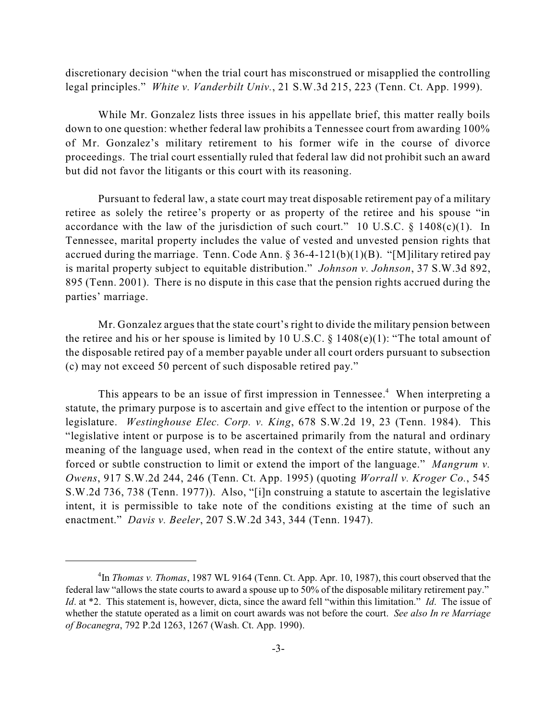discretionary decision "when the trial court has misconstrued or misapplied the controlling legal principles." *White v. Vanderbilt Univ.*, 21 S.W.3d 215, 223 (Tenn. Ct. App. 1999).

While Mr. Gonzalez lists three issues in his appellate brief, this matter really boils down to one question: whether federal law prohibits a Tennessee court from awarding 100% of Mr. Gonzalez's military retirement to his former wife in the course of divorce proceedings. The trial court essentially ruled that federal law did not prohibit such an award but did not favor the litigants or this court with its reasoning.

Pursuant to federal law, a state court may treat disposable retirement pay of a military retiree as solely the retiree's property or as property of the retiree and his spouse "in accordance with the law of the jurisdiction of such court." 10 U.S.C.  $\S$  1408(c)(1). In Tennessee, marital property includes the value of vested and unvested pension rights that accrued during the marriage. Tenn. Code Ann. § 36-4-121(b)(1)(B). "[M]ilitary retired pay is marital property subject to equitable distribution." *Johnson v. Johnson*, 37 S.W.3d 892, 895 (Tenn. 2001). There is no dispute in this case that the pension rights accrued during the parties' marriage.

Mr. Gonzalez argues that the state court's right to divide the military pension between the retiree and his or her spouse is limited by 10 U.S.C.  $\S$  1408(e)(1): "The total amount of the disposable retired pay of a member payable under all court orders pursuant to subsection (c) may not exceed 50 percent of such disposable retired pay."

This appears to be an issue of first impression in Tennessee.<sup>4</sup> When interpreting a statute, the primary purpose is to ascertain and give effect to the intention or purpose of the legislature. *Westinghouse Elec. Corp. v. King*, 678 S.W.2d 19, 23 (Tenn. 1984). This "legislative intent or purpose is to be ascertained primarily from the natural and ordinary meaning of the language used, when read in the context of the entire statute, without any forced or subtle construction to limit or extend the import of the language." *Mangrum v. Owens*, 917 S.W.2d 244, 246 (Tenn. Ct. App. 1995) (quoting *Worrall v. Kroger Co.*, 545 S.W.2d 736, 738 (Tenn. 1977)). Also, "[i]n construing a statute to ascertain the legislative intent, it is permissible to take note of the conditions existing at the time of such an enactment." *Davis v. Beeler*, 207 S.W.2d 343, 344 (Tenn. 1947).

<sup>&</sup>lt;sup>4</sup>In *Thomas v. Thomas*, 1987 WL 9164 (Tenn. Ct. App. Apr. 10, 1987), this court observed that the federal law "allows the state courts to award a spouse up to 50% of the disposable military retirement pay." *Id*. at \*2. This statement is, however, dicta, since the award fell "within this limitation." *Id*. The issue of whether the statute operated as a limit on court awards was not before the court. *See also In re Marriage of Bocanegra*, 792 P.2d 1263, 1267 (Wash. Ct. App. 1990).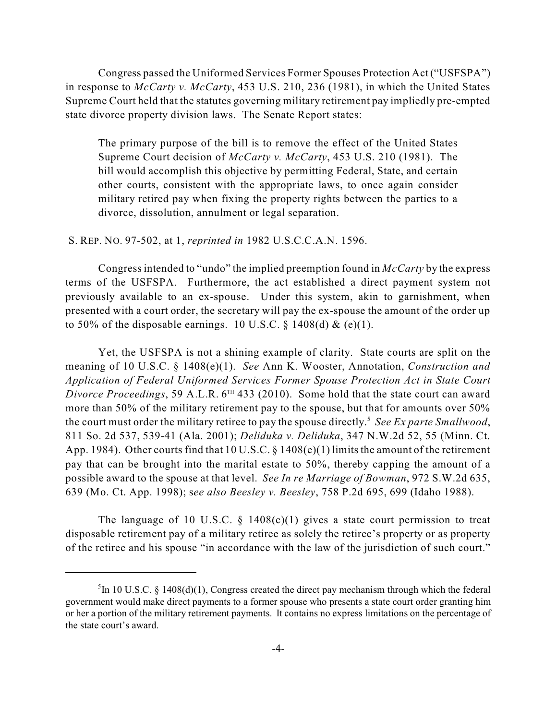Congress passed the Uniformed Services Former Spouses Protection Act ("USFSPA") in response to *McCarty v. McCarty*, 453 U.S. 210, 236 (1981), in which the United States Supreme Court held that the statutes governing military retirement pay impliedly pre-empted state divorce property division laws. The Senate Report states:

The primary purpose of the bill is to remove the effect of the United States Supreme Court decision of *McCarty v. McCarty*, 453 U.S. 210 (1981). The bill would accomplish this objective by permitting Federal, State, and certain other courts, consistent with the appropriate laws, to once again consider military retired pay when fixing the property rights between the parties to a divorce, dissolution, annulment or legal separation.

#### S. REP. NO. 97-502, at 1, *reprinted in* 1982 U.S.C.C.A.N. 1596.

Congressintended to "undo" the implied preemption found in *McCarty* by the express terms of the USFSPA. Furthermore, the act established a direct payment system not previously available to an ex-spouse. Under this system, akin to garnishment, when presented with a court order, the secretary will pay the ex-spouse the amount of the order up to 50% of the disposable earnings. 10 U.S.C.  $\S$  1408(d) & (e)(1).

Yet, the USFSPA is not a shining example of clarity. State courts are split on the meaning of 10 U.S.C. § 1408(e)(1). *See* Ann K. Wooster, Annotation, *Construction and Application of Federal Uniformed Services Former Spouse Protection Act in State Court* Divorce Proceedings, 59 A.L.R. 6<sup>TH</sup> 433 (2010). Some hold that the state court can award more than 50% of the military retirement pay to the spouse, but that for amounts over 50% the court must order the military retiree to pay the spouse directly. *See Ex parte Smallwood*, 5 811 So. 2d 537, 539-41 (Ala. 2001); *Deliduka v. Deliduka*, 347 N.W.2d 52, 55 (Minn. Ct. App. 1984). Other courts find that 10 U.S.C. § 1408(e)(1) limits the amount of the retirement pay that can be brought into the marital estate to 50%, thereby capping the amount of a possible award to the spouse at that level. *See In re Marriage of Bowman*, 972 S.W.2d 635, 639 (Mo. Ct. App. 1998); s*ee also Beesley v. Beesley*, 758 P.2d 695, 699 (Idaho 1988).

The language of 10 U.S.C.  $\S$  1408(c)(1) gives a state court permission to treat disposable retirement pay of a military retiree as solely the retiree's property or as property of the retiree and his spouse "in accordance with the law of the jurisdiction of such court."

<sup>&</sup>lt;sup>5</sup>In 10 U.S.C. § 1408(d)(1), Congress created the direct pay mechanism through which the federal government would make direct payments to a former spouse who presents a state court order granting him or her a portion of the military retirement payments. It contains no express limitations on the percentage of the state court's award.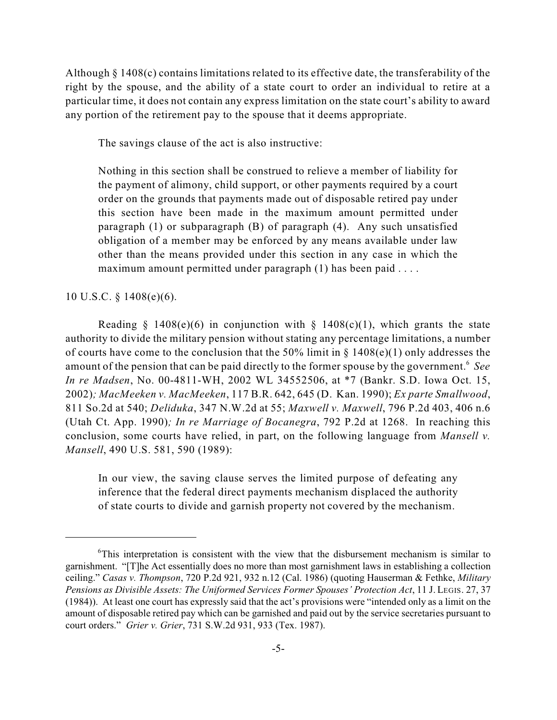Although § 1408(c) contains limitations related to its effective date, the transferability of the right by the spouse, and the ability of a state court to order an individual to retire at a particular time, it does not contain any express limitation on the state court's ability to award any portion of the retirement pay to the spouse that it deems appropriate.

The savings clause of the act is also instructive:

Nothing in this section shall be construed to relieve a member of liability for the payment of alimony, child support, or other payments required by a court order on the grounds that payments made out of disposable retired pay under this section have been made in the maximum amount permitted under paragraph (1) or subparagraph (B) of paragraph (4). Any such unsatisfied obligation of a member may be enforced by any means available under law other than the means provided under this section in any case in which the maximum amount permitted under paragraph (1) has been paid ....

10 U.S.C. § 1408(e)(6).

Reading § 1408(e)(6) in conjunction with § 1408(c)(1), which grants the state authority to divide the military pension without stating any percentage limitations, a number of courts have come to the conclusion that the 50% limit in  $\S$  1408(e)(1) only addresses the amount of the pension that can be paid directly to the former spouse by the government.<sup>6</sup> See *In re Madsen*, No. 00-4811-WH, 2002 WL 34552506, at \*7 (Bankr. S.D. Iowa Oct. 15, 2002)*; MacMeeken v. MacMeeken*, 117 B.R. 642, 645 (D. Kan. 1990); *Ex parte Smallwood*, 811 So.2d at 540; *Deliduka*, 347 N.W.2d at 55; *Maxwell v. Maxwell*, 796 P.2d 403, 406 n.6 (Utah Ct. App. 1990)*; In re Marriage of Bocanegra*, 792 P.2d at 1268. In reaching this conclusion, some courts have relied, in part, on the following language from *Mansell v. Mansell*, 490 U.S. 581, 590 (1989):

In our view, the saving clause serves the limited purpose of defeating any inference that the federal direct payments mechanism displaced the authority of state courts to divide and garnish property not covered by the mechanism.

 $\delta$ This interpretation is consistent with the view that the disbursement mechanism is similar to garnishment. "[T]he Act essentially does no more than most garnishment laws in establishing a collection ceiling." *Casas v. Thompson*, 720 P.2d 921, 932 n.12 (Cal. 1986) (quoting Hauserman & Fethke, *Military Pensions as Divisible Assets: The Uniformed Services Former Spouses' Protection Act*, 11 J. LEGIS. 27, 37 (1984)). At least one court has expressly said that the act's provisions were "intended only as a limit on the amount of disposable retired pay which can be garnished and paid out by the service secretaries pursuant to court orders." *Grier v. Grier*, 731 S.W.2d 931, 933 (Tex. 1987).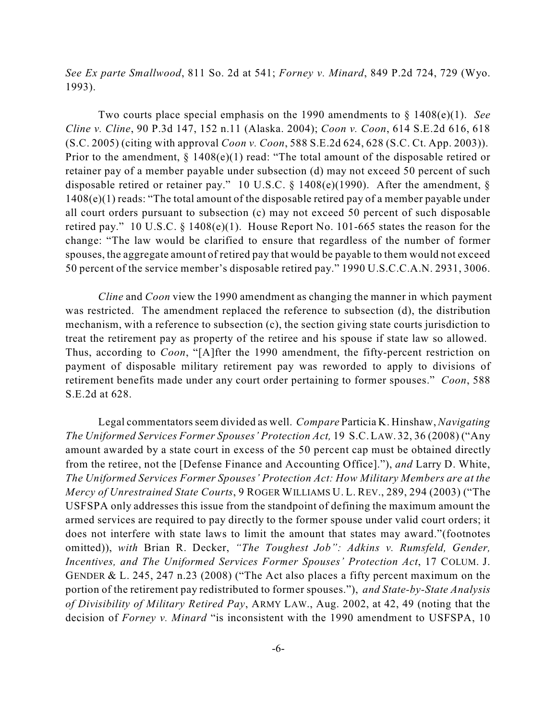*See Ex parte Smallwood*, 811 So. 2d at 541; *Forney v. Minard*, 849 P.2d 724, 729 (Wyo. 1993).

Two courts place special emphasis on the 1990 amendments to § 1408(e)(1). *See Cline v. Cline*, 90 P.3d 147, 152 n.11 (Alaska. 2004); *Coon v. Coon*, 614 S.E.2d 616, 618 (S.C. 2005) (citing with approval *Coon v. Coon*, 588 S.E.2d 624, 628 (S.C. Ct. App. 2003)). Prior to the amendment, § 1408(e)(1) read: "The total amount of the disposable retired or retainer pay of a member payable under subsection (d) may not exceed 50 percent of such disposable retired or retainer pay." 10 U.S.C. § 1408(e)(1990). After the amendment, § 1408(e)(1) reads: "The total amount of the disposable retired pay of a member payable under all court orders pursuant to subsection (c) may not exceed 50 percent of such disposable retired pay." 10 U.S.C. § 1408(e)(1). House Report No. 101-665 states the reason for the change: "The law would be clarified to ensure that regardless of the number of former spouses, the aggregate amount of retired pay that would be payable to them would not exceed 50 percent of the service member's disposable retired pay." 1990 U.S.C.C.A.N. 2931, 3006.

*Cline* and *Coon* view the 1990 amendment as changing the manner in which payment was restricted. The amendment replaced the reference to subsection (d), the distribution mechanism, with a reference to subsection (c), the section giving state courts jurisdiction to treat the retirement pay as property of the retiree and his spouse if state law so allowed. Thus, according to *Coon*, "[A]fter the 1990 amendment, the fifty-percent restriction on payment of disposable military retirement pay was reworded to apply to divisions of retirement benefits made under any court order pertaining to former spouses." *Coon*, 588 S.E.2d at 628.

Legal commentators seem divided as well. *Compare* Particia K. Hinshaw, *Navigating The Uniformed Services Former Spouses' Protection Act,* 19 S.C.LAW. 32, 36 (2008) ("Any amount awarded by a state court in excess of the 50 percent cap must be obtained directly from the retiree, not the [Defense Finance and Accounting Office]."), *and* Larry D. White, *The Uniformed Services Former Spouses' Protection Act: How Military Members are at the Mercy of Unrestrained State Courts*, 9 ROGER WILLIAMS U. L. REV., 289, 294 (2003) ("The USFSPA only addresses this issue from the standpoint of defining the maximum amount the armed services are required to pay directly to the former spouse under valid court orders; it does not interfere with state laws to limit the amount that states may award."(footnotes omitted)), *with* Brian R. Decker, *"The Toughest Job": Adkins v. Rumsfeld, Gender, Incentives, and The Uniformed Services Former Spouses' Protection Act*, 17 COLUM. J. GENDER & L. 245, 247 n.23 (2008) ("The Act also places a fifty percent maximum on the portion of the retirement pay redistributed to former spouses."), *and State-by-State Analysis of Divisibility of Military Retired Pay*, ARMY LAW., Aug. 2002, at 42, 49 (noting that the decision of *Forney v. Minard* "is inconsistent with the 1990 amendment to USFSPA, 10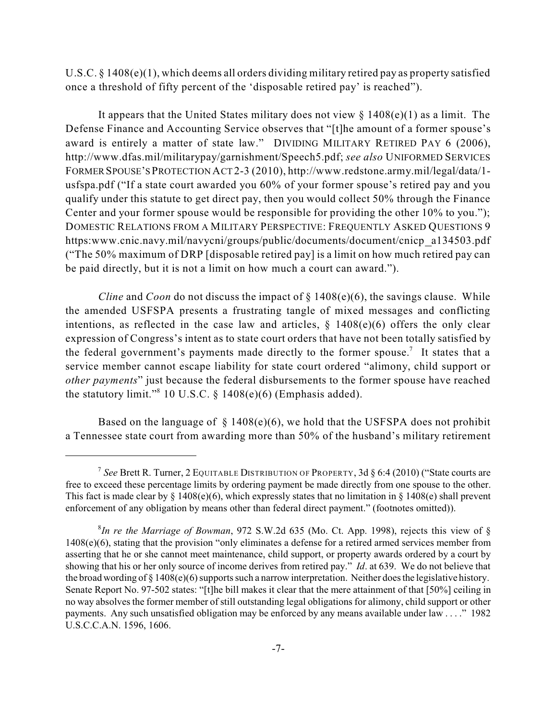U.S.C. § 1408(e)(1), which deems all orders dividing military retired pay as property satisfied once a threshold of fifty percent of the 'disposable retired pay' is reached").

It appears that the United States military does not view  $\S$  1408(e)(1) as a limit. The Defense Finance and Accounting Service observes that "[t]he amount of a former spouse's award is entirely a matter of state law." DIVIDING MILITARY RETIRED PAY 6 (2006), http://www.dfas.mil/militarypay/garnishment/Speech5.pdf; *see also* UNIFORMED SERVICES FORMER SPOUSE'S PROTECTION ACT 2-3 (2010), http://www.redstone.army.mil/legal/data/1 usfspa.pdf ("If a state court awarded you 60% of your former spouse's retired pay and you qualify under this statute to get direct pay, then you would collect 50% through the Finance Center and your former spouse would be responsible for providing the other 10% to you."); DOMESTIC RELATIONS FROM A MILITARY PERSPECTIVE: FREQUENTLY ASKED QUESTIONS 9 https:www.cnic.navy.mil/navycni/groups/public/documents/document/cnicp a134503.pdf ("The 50% maximum of DRP [disposable retired pay] is a limit on how much retired pay can be paid directly, but it is not a limit on how much a court can award.").

*Cline* and *Coon* do not discuss the impact of § 1408(e)(6), the savings clause. While the amended USFSPA presents a frustrating tangle of mixed messages and conflicting intentions, as reflected in the case law and articles,  $\S$  1408(e)(6) offers the only clear expression of Congress's intent as to state court orders that have not been totally satisfied by the federal government's payments made directly to the former spouse.<sup>7</sup> It states that a service member cannot escape liability for state court ordered "alimony, child support or *other payments*" just because the federal disbursements to the former spouse have reached the statutory limit."<sup>8</sup> 10 U.S.C.  $\S$  1408(e)(6) (Emphasis added).

Based on the language of  $\S$  1408(e)(6), we hold that the USFSPA does not prohibit a Tennessee state court from awarding more than 50% of the husband's military retirement

<sup>&</sup>lt;sup>7</sup> See Brett R. Turner, 2 EQUITABLE DISTRIBUTION OF PROPERTY, 3d  $\S 6:4$  (2010) ("State courts are free to exceed these percentage limits by ordering payment be made directly from one spouse to the other. This fact is made clear by  $\S 1408(e)(6)$ , which expressly states that no limitation in  $\S 1408(e)$  shall prevent enforcement of any obligation by means other than federal direct payment." (footnotes omitted)).

*In re the Marriage of Bowman*, 972 S.W.2d 635 (Mo. Ct. App. 1998), rejects this view of § 8  $1408(e)(6)$ , stating that the provision "only eliminates a defense for a retired armed services member from asserting that he or she cannot meet maintenance, child support, or property awards ordered by a court by showing that his or her only source of income derives from retired pay." *Id*. at 639. We do not believe that the broad wording of  $\S 1408(e)(6)$  supports such a narrow interpretation. Neither does the legislative history. Senate Report No. 97-502 states: "[t]he bill makes it clear that the mere attainment of that [50%] ceiling in no way absolvesthe former member of still outstanding legal obligations for alimony, child support or other payments. Any such unsatisfied obligation may be enforced by any means available under law . . . ." 1982 U.S.C.C.A.N. 1596, 1606.